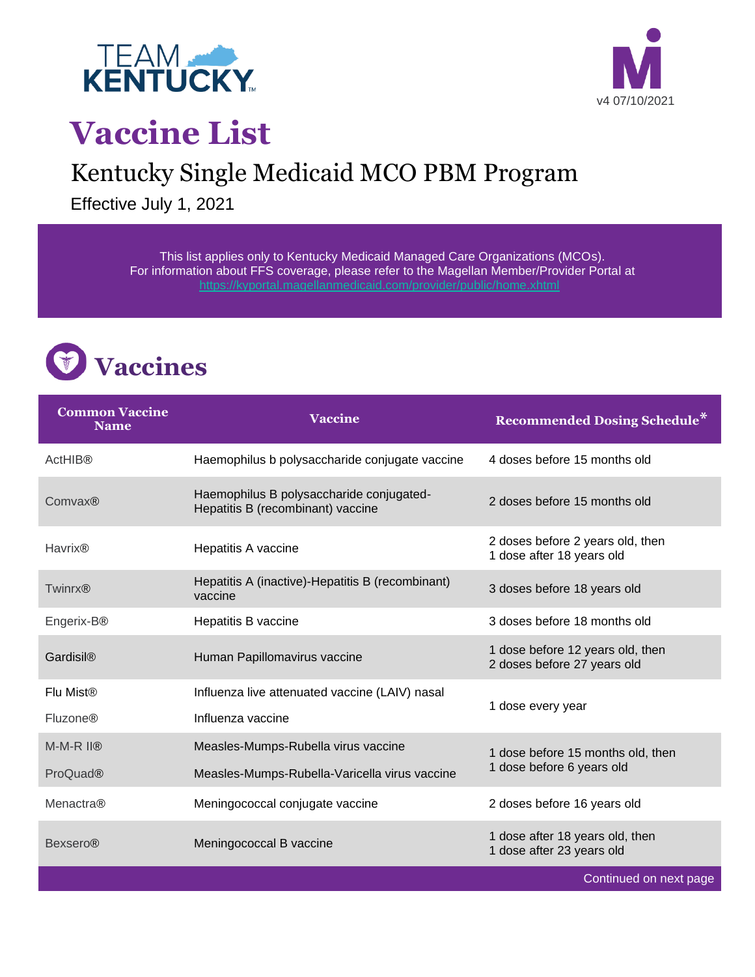



Continued on next page

## **Vaccine List**

## Kentucky Single Medicaid MCO PBM Program

Effective July 1, 2021

This list applies only to Kentucky Medicaid Managed Care Organizations (MCOs). For information about FFS coverage, please refer to the Magellan Member/Provider Portal at <https://kyportal.magellanmedicaid.com/provider/public/home.xhtml>



| <b>Common Vaccine</b><br><b>Name</b>    | <b>Vaccine</b>                                                                | <b>Recommended Dosing Schedule*</b>                             |
|-----------------------------------------|-------------------------------------------------------------------------------|-----------------------------------------------------------------|
| <b>ActHIB®</b>                          | Haemophilus b polysaccharide conjugate vaccine                                | 4 doses before 15 months old                                    |
| Comvax®                                 | Haemophilus B polysaccharide conjugated-<br>Hepatitis B (recombinant) vaccine | 2 doses before 15 months old                                    |
| <b>Havrix®</b>                          | Hepatitis A vaccine                                                           | 2 doses before 2 years old, then<br>1 dose after 18 years old   |
| <b>Twinrx®</b>                          | Hepatitis A (inactive)-Hepatitis B (recombinant)<br>vaccine                   | 3 doses before 18 years old                                     |
| Engerix-B®                              | Hepatitis B vaccine                                                           | 3 doses before 18 months old                                    |
| Gardisil®                               | Human Papillomavirus vaccine                                                  | 1 dose before 12 years old, then<br>2 doses before 27 years old |
| Flu Mist®                               | Influenza live attenuated vaccine (LAIV) nasal                                | 1 dose every year                                               |
| <b>Fluzone®</b>                         | Influenza vaccine                                                             |                                                                 |
| $M-M-R$ $I$ <sup>(<math>R</math>)</sup> | Measles-Mumps-Rubella virus vaccine                                           | 1 dose before 15 months old, then<br>1 dose before 6 years old  |
| <b>ProQuad®</b>                         | Measles-Mumps-Rubella-Varicella virus vaccine                                 |                                                                 |
| <b>Menactra®</b>                        | Meningococcal conjugate vaccine                                               | 2 doses before 16 years old                                     |
| <b>Bexsero®</b>                         | Meningococcal B vaccine                                                       | 1 dose after 18 years old, then<br>1 dose after 23 years old    |